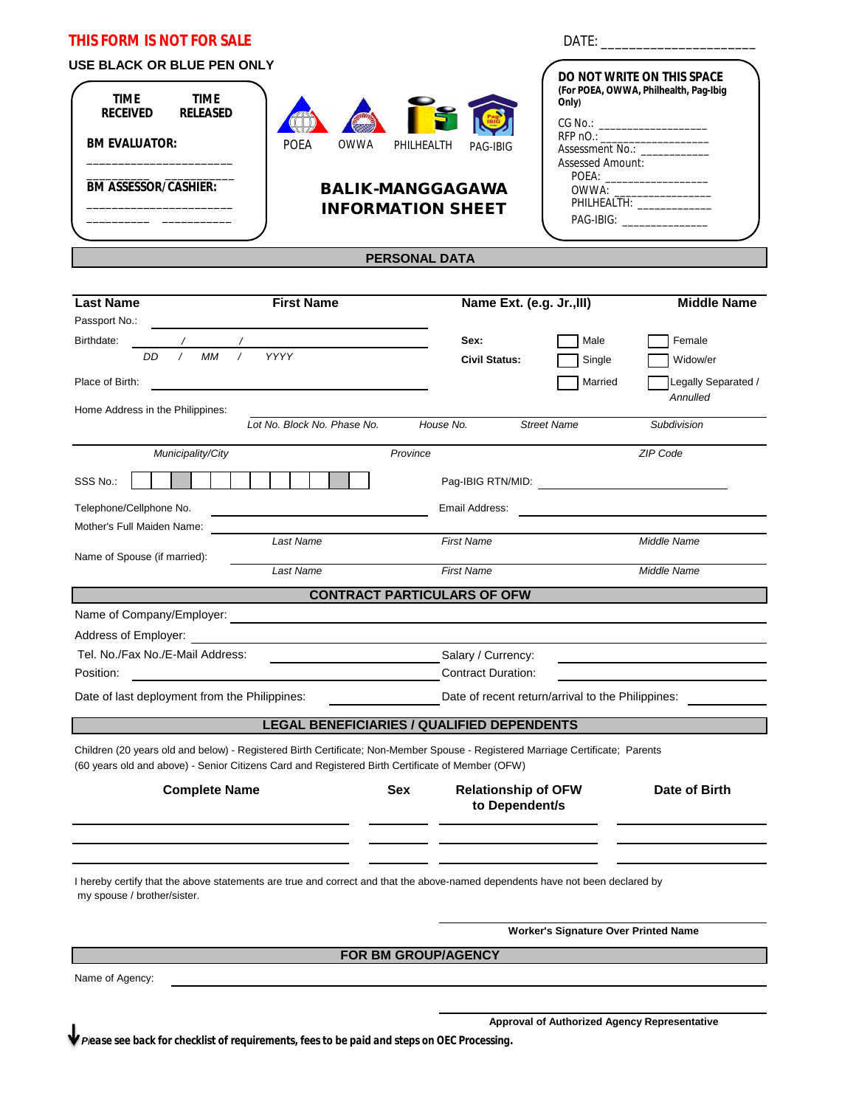| <b>THIS FORM IS NOT FOR SALE</b><br>USE BLACK OR BLUE PEN ONLY<br><b>TIME</b><br><b>TIME</b><br><b>RECEIVED</b><br><b>RELEASED</b><br><b>BM EVALUATOR:</b><br><b>BM ASSESSOR/CASHIER:</b>                                                                                                                      | POEA<br>OWWA                                      | PHILHEALTH<br><b>BALIK-MANGGAGAWA</b><br><b>INFORMATION SHEET</b><br><b>PERSONAL DATA</b> | PAG-IBIG                                        | Only)<br><b>Assessed Amount:</b>                                                                                                                                                                                               | <b>DO NOT WRITE ON THIS SPACE</b><br>(For POEA, OWWA, Philhealth, Pag-Ibig<br>CG No.: ______________________<br>Assessment No.: _____________<br>POEA: ___________________<br>PHILHEALTH: _______________<br>PAG-IBIG: _________________ |
|----------------------------------------------------------------------------------------------------------------------------------------------------------------------------------------------------------------------------------------------------------------------------------------------------------------|---------------------------------------------------|-------------------------------------------------------------------------------------------|-------------------------------------------------|--------------------------------------------------------------------------------------------------------------------------------------------------------------------------------------------------------------------------------|------------------------------------------------------------------------------------------------------------------------------------------------------------------------------------------------------------------------------------------|
| <b>Last Name</b>                                                                                                                                                                                                                                                                                               | <b>First Name</b>                                 |                                                                                           | Name Ext. (e.g. Jr., III)                       |                                                                                                                                                                                                                                | <b>Middle Name</b>                                                                                                                                                                                                                       |
| Passport No.:<br>Birthdate:<br>$\sqrt{2}$<br><b>MM</b><br>DD<br>Place of Birth:                                                                                                                                                                                                                                | <b>YYYY</b>                                       |                                                                                           | Sex:<br><b>Civil Status:</b>                    | Male<br>Single<br>Married                                                                                                                                                                                                      | Female<br>Widow/er<br>Legally Separated /<br>Annulled                                                                                                                                                                                    |
| Home Address in the Philippines:                                                                                                                                                                                                                                                                               | Lot No. Block No. Phase No.                       | House No.                                                                                 |                                                 | <b>Street Name</b>                                                                                                                                                                                                             | Subdivision                                                                                                                                                                                                                              |
| Municipality/City<br>SSS No.:<br>Telephone/Cellphone No.                                                                                                                                                                                                                                                       |                                                   | Province                                                                                  | Email Address:                                  | Pag-IBIG RTN/MID: Note that the state of the state of the state of the state of the state of the state of the state of the state of the state of the state of the state of the state of the state of the state of the state of | ZIP Code                                                                                                                                                                                                                                 |
| Mother's Full Maiden Name:                                                                                                                                                                                                                                                                                     | Last Name                                         |                                                                                           | <b>First Name</b>                               |                                                                                                                                                                                                                                | Middle Name                                                                                                                                                                                                                              |
| Name of Spouse (if married):                                                                                                                                                                                                                                                                                   | Last Name                                         |                                                                                           | <b>First Name</b>                               |                                                                                                                                                                                                                                | Middle Name                                                                                                                                                                                                                              |
|                                                                                                                                                                                                                                                                                                                | <b>CONTRACT PARTICULARS OF OFW</b>                |                                                                                           |                                                 |                                                                                                                                                                                                                                |                                                                                                                                                                                                                                          |
| Name of Company/Employer:<br><u> and a second company</u> of the second second second second second second second second second second second second second second second second second second second second second second second sec<br>Address of Employer:<br>Tel. No./Fax No./E-Mail Address:<br>Position: |                                                   |                                                                                           | Salary / Currency:<br><b>Contract Duration:</b> |                                                                                                                                                                                                                                |                                                                                                                                                                                                                                          |
| Date of last deployment from the Philippines:                                                                                                                                                                                                                                                                  |                                                   |                                                                                           |                                                 | Date of recent return/arrival to the Philippines:                                                                                                                                                                              |                                                                                                                                                                                                                                          |
|                                                                                                                                                                                                                                                                                                                | <b>LEGAL BENEFICIARIES / QUALIFIED DEPENDENTS</b> |                                                                                           |                                                 |                                                                                                                                                                                                                                |                                                                                                                                                                                                                                          |
| Children (20 years old and below) - Registered Birth Certificate; Non-Member Spouse - Registered Marriage Certificate; Parents<br>(60 years old and above) - Senior Citizens Card and Registered Birth Certificate of Member (OFW)                                                                             |                                                   |                                                                                           |                                                 |                                                                                                                                                                                                                                |                                                                                                                                                                                                                                          |
| <b>Complete Name</b>                                                                                                                                                                                                                                                                                           |                                                   | <b>Sex</b>                                                                                | <b>Relationship of OFW</b><br>to Dependent/s    |                                                                                                                                                                                                                                | Date of Birth                                                                                                                                                                                                                            |
|                                                                                                                                                                                                                                                                                                                |                                                   |                                                                                           |                                                 |                                                                                                                                                                                                                                |                                                                                                                                                                                                                                          |
| I hereby certify that the above statements are true and correct and that the above-named dependents have not been declared by<br>my spouse / brother/sister.                                                                                                                                                   |                                                   |                                                                                           |                                                 |                                                                                                                                                                                                                                |                                                                                                                                                                                                                                          |
|                                                                                                                                                                                                                                                                                                                |                                                   |                                                                                           | <b>Worker's Signature Over Printed Name</b>     |                                                                                                                                                                                                                                |                                                                                                                                                                                                                                          |
|                                                                                                                                                                                                                                                                                                                |                                                   | FOR BM GROUP/AGENCY                                                                       |                                                 |                                                                                                                                                                                                                                |                                                                                                                                                                                                                                          |
| Name of Agency:                                                                                                                                                                                                                                                                                                |                                                   |                                                                                           |                                                 |                                                                                                                                                                                                                                |                                                                                                                                                                                                                                          |
|                                                                                                                                                                                                                                                                                                                |                                                   |                                                                                           |                                                 |                                                                                                                                                                                                                                | Approval of Authorized Agency Representative                                                                                                                                                                                             |

*Please see back for checklist of requirements, fees to be paid and steps on OEC Processing.*